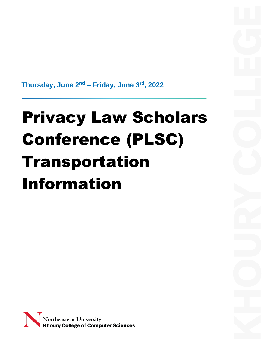**Thursday, June 2nd – Friday, June 3rd, 2022**

# Privacy Law Scholars Conference (PLSC) Transportation Information

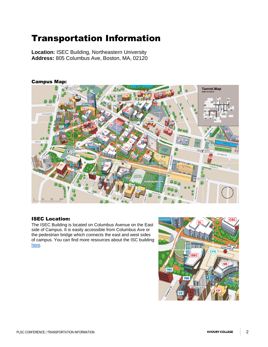## Transportation Information

**Location:** ISEC Building, Northeastern University **Address:** 805 Columbus Ave, Boston, MA, 02120



### ISEC Location:

The ISEC Building is located on Columbus Avenue on the East side of Campus. It is easily accessible from Columbus Ave or the pedestrian bridge which connects the east and west sides of campus. You can find more resources about the ISC building [here.](https://www.northeastern.edu/isec/)

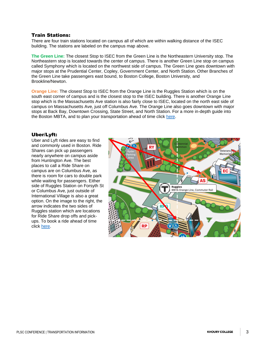### Train Stations:

There are four train stations located on campus all of which are within walking distance of the ISEC building. The stations are labeled on the campus map above.

**The Green Line:** The closest Stop to ISEC from the Green Line is the Northeastern University stop. The Northeastern stop is located towards the center of campus. There is another Green Line stop on campus called Symphony which is located on the northwest side of campus. The Green Line goes downtown with major stops at the Prudential Center, Copley, Government Center, and North Station. Other Branches of the Green Line take passengers east bound, to Boston College, Boston University, and Brookline/Newton.

**Orange Line:** The closest Stop to ISEC from the Orange Line is the Ruggles Station which is on the south east corner of campus and is the closest stop to the ISEC building. There is another Orange Line stop which is the Massachusetts Ave station is also fairly close to ISEC, located on the north east side of campus on Massachusetts Ave, just off Columbus Ave. The Orange Line also goes downtown with major stops at Back Bay, Downtown Crossing, State Street, and North Station. For a more in-depth guide into the Boston MBTA, and to plan your transportation ahead of time click [here.](https://www.mbta.com/schedules/subway)

### Uber/Lyft:

Uber and Lyft rides are easy to find and commonly used in Boston. Ride Shares can pick up passengers nearly anywhere on campus aside from Huntington Ave. The best places to call a Ride Share on campus are on Columbus Ave, as there is room for cars to double park while waiting for passengers. Either side of Ruggles Station on Forsyth St or Columbus Ave, just outside of International Village is also a great option. On the image to the right, the arrow indicates the two sides of Ruggles station which are locations for Ride Share drop offs and pickups. To book a ride ahead of time click [here.](https://www.uber.com/global/en/cities/boston/)

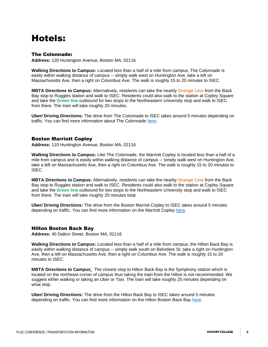## Hotels:

### The Colonnade:

**Address:** 120 Huntington Avenue, Boston MA, 02116

**Walking Directions to Campus:** Located less than a half of a mile from campus, The Colonnade is easily within walking distance of campus -- simply walk west on Huntington Ave, take a left on Massachusetts Ave, then a right on Columbus Ave. The walk is roughly 15 to 20 minutes to ISEC.

**MBTA Directions to Campus:** Alternatively, residents can take the nearby **Orange Line** from the Back Bay stop to Ruggles station and walk to ISEC. Residents could also walk to the station at Copley Square and take the **Green line** outbound for two stops to the Northeastern University stop and walk to ISEC from there. The train will take roughly 20 minutes.

**Uber/ Driving Directions:** The drive from The Colonnade to ISEC takes around 5 minutes depending on traffic. You can find more information about The Colonnade [here.](https://www.colonnadehotel.com/)

#### Boston Marriott Copley

**Address:** 110 Huntington Avenue, Boston MA, 02116

**Walking Directions to Campus:** Like The Colonnade, the Marriott Copley is located less than a half of a mile from campus and is easily within walking distance of campus -- simply walk west on Huntington Ave, take a left on Massachusetts Ave, then a right on Columbus Ave. The walk is roughly 15 to 20 minutes to ISEC.

**MBTA Directions to Campus:** Alternatively, residents can take the nearby **Orange Line** from the Back Bay stop to Ruggles station and walk to ISEC. Residents could also walk to the station at Copley Square and take the **Green line** outbound for two stops to the Northeastern University stop and walk to ISEC from there. The train will take roughly 20 minutes total.

**Uber/ Driving Directions:** The drive from the Boston Marriot Copley to ISEC takes around 5 minutes depending on traffic. You can find more information on the Marriott Copley [here.](https://www.marriott.com/en-us/hotels/bosco-boston-marriott-copley-place/overview/)

### Hilton Boston Back Bay

**Address:** 40 Dalton Street, Boston MA, 02116

**Walking Directions to Campus:** Located less than a half of a mile from campus, the Hilton Back Bay is easily within walking distance of campus -- simply walk south on Belvidere St, take a right on Huntington Ave, then a left on Massachusetts Ave, then a right on Columbus Ave. The walk is roughly 15 to 20 minutes to ISEC.

**MBTA Directions to Campus**: The closest stop to Hilton Back Bay is the Symphony station which is located on the northeast corner of campus thus taking the train from the Hilton is not recommended. We suggest either walking or taking an Uber or Taxi. The train will take roughly 25 minutes depending on what stop.

**Uber/ Driving Directions:** The drive from the Hilton Back Bay to ISEC takes around 5 minutes depending on traffic. You can find more information on the Hilton Boston Back Bay [here.](https://www.hilton.com/en/hotels/bosbhhh-hilton-boston-back-bay/)